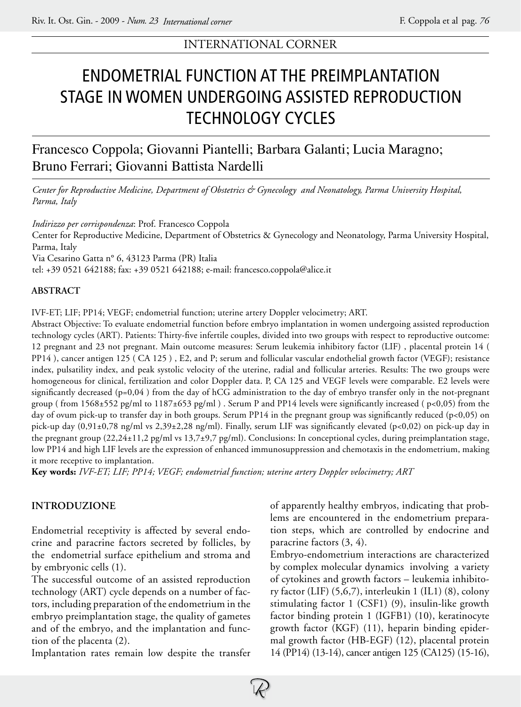# INTERNATIONAL CORNER

# Endometrial function at the preimplantation stage in women undergoing assisted reproduction technology cycles

# Francesco Coppola; Giovanni Piantelli; Barbara Galanti; Lucia Maragno; Bruno Ferrari; Giovanni Battista Nardelli

*Center for Reproductive Medicine, Department of Obstetrics & Gynecology and Neonatology, Parma University Hospital, Parma, Italy*

*Indirizzo per corrispondenza*: Prof. Francesco Coppola

Center for Reproductive Medicine, Department of Obstetrics & Gynecology and Neonatology, Parma University Hospital, Parma, Italy

Via Cesarino Gatta n° 6, 43123 Parma (PR) Italia

tel: +39 0521 642188; fax: +39 0521 642188; e-mail: francesco.coppola@alice.it

## **Abstract**

IVF-ET; LIF; PP14; VEGF; endometrial function; uterine artery Doppler velocimetry; ART.

Abstract Objective: To evaluate endometrial function before embryo implantation in women undergoing assisted reproduction technology cycles (ART). Patients: Thirty-five infertile couples, divided into two groups with respect to reproductive outcome: 12 pregnant and 23 not pregnant. Main outcome measures: Serum leukemia inhibitory factor (LIF) , placental protein 14 ( PP14 ), cancer antigen 125 ( CA 125 ) , E2, and P; serum and follicular vascular endothelial growth factor (VEGF); resistance index, pulsatility index, and peak systolic velocity of the uterine, radial and follicular arteries. Results: The two groups were homogeneous for clinical, fertilization and color Doppler data. P, CA 125 and VEGF levels were comparable. E2 levels were significantly decreased (p=0,04 ) from the day of hCG administration to the day of embryo transfer only in the not-pregnant group (from 1568±552 pg/ml to 1187±653 pg/ml). Serum P and PP14 levels were significantly increased ( $p<0,05$ ) from the day of ovum pick-up to transfer day in both groups. Serum PP14 in the pregnant group was significantly reduced (p<0,05) on pick-up day  $(0,91\pm0,78 \text{ ng/ml vs } 2,39\pm2,28 \text{ ng/ml})$ . Finally, serum LIF was significantly elevated  $(p<0,02)$  on pick-up day in the pregnant group (22,24±11,2 pg/ml vs 13,7±9,7 pg/ml). Conclusions: In conceptional cycles, during preimplantation stage, low PP14 and high LIF levels are the expression of enhanced immunosuppression and chemotaxis in the endometrium, making it more receptive to implantation.

**Key words:** *IVF-ET; LIF; PP14; VEGF; endometrial function; uterine artery Doppler velocimetry; ART*

# **INTRODUZIONE**

Endometrial receptivity is affected by several endocrine and paracrine factors secreted by follicles, by the endometrial surface epithelium and stroma and by embryonic cells (1).

The successful outcome of an assisted reproduction technology (ART) cycle depends on a number of factors, including preparation of the endometrium in the embryo preimplantation stage, the quality of gametes and of the embryo, and the implantation and function of the placenta (2).

Implantation rates remain low despite the transfer

of apparently healthy embryos, indicating that problems are encountered in the endometrium preparation steps, which are controlled by endocrine and paracrine factors (3, 4).

Embryo-endometrium interactions are characterized by complex molecular dynamics involving a variety of cytokines and growth factors – leukemia inhibitory factor (LIF) (5,6,7), interleukin 1 (IL1) (8), colony stimulating factor 1 (CSF1) (9), insulin-like growth factor binding protein 1 (IGFB1) (10), keratinocyte growth factor (KGF) (11), heparin binding epidermal growth factor (HB-EGF) (12), placental protein 14 (PP14) (13-14), cancer antigen 125 (CA125) (15-16),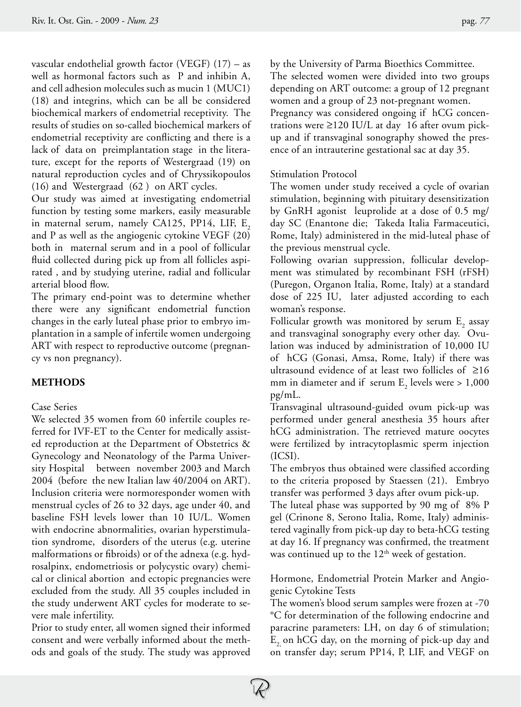vascular endothelial growth factor (VEGF) (17) – as well as hormonal factors such as P and inhibin A, and cell adhesion molecules such as mucin 1 (MUC1) (18) and integrins, which can be all be considered biochemical markers of endometrial receptivity. The results of studies on so-called biochemical markers of endometrial receptivity are conflicting and there is a lack of data on preimplantation stage in the literature, except for the reports of Westergraad (19) on natural reproduction cycles and of Chryssikopoulos (16) and Westergraad(62 ) on ART cycles.

Our study was aimed at investigating endometrial function by testing some markers, easily measurable in maternal serum, namely CA125, PP14, LIF,  $E<sub>2</sub>$ and P as well as the angiogenic cytokine VEGF (20) both in maternal serum and in a pool of follicular fluid collected during pick up from all follicles aspirated , and by studying uterine, radial and follicular arterial blood flow.

The primary end-point was to determine whether there were any significant endometrial function changes in the early luteal phase prior to embryo implantation in a sample of infertile women undergoing ART with respect to reproductive outcome (pregnancy vs non pregnancy).

## **METHODS**

#### Case Series

We selected 35 women from 60 infertile couples referred for IVF-ET to the Center for medically assisted reproduction at the Department of Obstetrics & Gynecology and Neonatology of the Parma University Hospital between november 2003 and March 2004 (before the new Italian law 40/2004 on ART). Inclusion criteria were normoresponder women with menstrual cycles of 26 to 32 days, age under 40, and baseline FSH levels lower than 10 IU/L. Women with endocrine abnormalities, ovarian hyperstimulation syndrome, disorders of the uterus (e.g. uterine malformations or fibroids) or of the adnexa (e.g. hydrosalpinx, endometriosis or polycystic ovary) chemical or clinical abortion and ectopic pregnancies were excluded from the study. All 35 couples included in the study underwent ART cycles for moderate to severe male infertility.

Prior to study enter, all women signed their informed consent and were verbally informed about the methods and goals of the study. The study was approved by the University of Parma Bioethics Committee.

The selected women were divided into two groups depending on ART outcome: a group of 12 pregnant women and a group of 23 not-pregnant women. Pregnancy was considered ongoing if hCG concentrations were ≥120 IU/L at day 16 after ovum pickup and if transvaginal sonography showed the presence of an intrauterine gestational sac at day 35.

#### Stimulation Protocol

The women under study received a cycle of ovarian stimulation, beginning with pituitary desensitization by GnRH agonist leuprolide at a dose of 0.5 mg/ day SC (Enantone die; Takeda Italia Farmaceutici, Rome, Italy) administered in the mid-luteal phase of the previous menstrual cycle.

Following ovarian suppression, follicular development was stimulated by recombinant FSH (rFSH) (Puregon, Organon Italia, Rome, Italy) at a standard dose of 225 IU, later adjusted according to each woman's response.

Follicular growth was monitored by serum  $\mathrm{E}_\mathrm{2}$  assay and transvaginal sonography every other day. Ovulation was induced by administration of 10,000 IU of hCG (Gonasi, Amsa, Rome, Italy) if there was ultrasound evidence of at least two follicles of ≥16 mm in diameter and if serum  $E_2$  levels were  $> 1,000$ pg/mL.

Transvaginal ultrasound-guided ovum pick-up was performed under general anesthesia 35 hours after hCG administration. The retrieved mature oocytes were fertilized by intracytoplasmic sperm injection (ICSI).

The embryos thus obtained were classified according to the criteria proposed by Staessen (21). Embryo transfer was performed 3 days after ovum pick-up.

The luteal phase was supported by 90 mg of 8% P gel (Crinone 8, Serono Italia, Rome, Italy) administered vaginally from pick-up day to beta-hCG testing at day 16. If pregnancy was confirmed, the treatment was continued up to the  $12<sup>th</sup>$  week of gestation.

Hormone, Endometrial Protein Marker and Angiogenic Cytokine Tests

The women's blood serum samples were frozen at -70 °C for determination of the following endocrine and paracrine parameters: LH, on day 6 of stimulation;  $E<sub>2</sub>$  on hCG day, on the morning of pick-up day and on transfer day; serum PP14, P, LIF, and VEGF on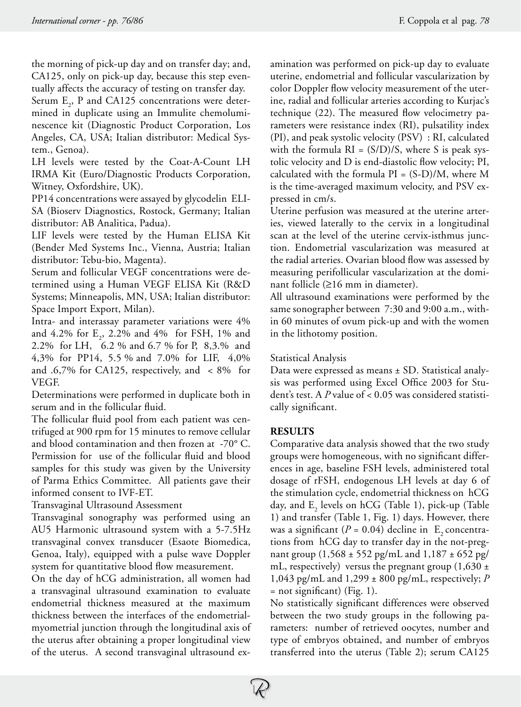the morning of pick-up day and on transfer day; and, CA125, only on pick-up day, because this step eventually affects the accuracy of testing on transfer day.

Serum  $E_2$ , P and CA125 concentrations were determined in duplicate using an Immulite chemoluminescence kit (Diagnostic Product Corporation, Los Angeles, CA, USA; Italian distributor: Medical System., Genoa).

LH levels were tested by the Coat-A-Count LH IRMA Kit (Euro/Diagnostic Products Corporation, Witney, Oxfordshire, UK).

PP14 concentrations were assayed by glycodelin ELI-SA (Bioserv Diagnostics, Rostock, Germany; Italian distributor: AB Analitica, Padua).

LIF levels were tested by the Human ELISA Kit (Bender Med Systems Inc., Vienna, Austria; Italian distributor: Tebu-bio, Magenta).

Serum and follicular VEGF concentrations were determined using a Human VEGF ELISA Kit (R&D Systems; Minneapolis, MN, USA; Italian distributor: Space Import Export, Milan).

Intra- and interassay parameter variations were 4% and 4.2% for  $E_2$ , 2.2% and 4% for FSH, 1% and 2.2% for LH, 6.2 % and 6.7 % for P, 8,3.% and 4,3% for PP14, 5.5 % and 7.0% for LIF, 4,0% and .6,7% for CA125, respectively, and < 8% for VEGF.

Determinations were performed in duplicate both in serum and in the follicular fluid.

The follicular fluid pool from each patient was centrifuged at 900 rpm for 15 minutes to remove cellular and blood contamination and then frozen at -70° C. Permission for use of the follicular fluid and blood samples for this study was given by the University of Parma Ethics Committee. All patients gave their informed consent to IVF-ET.

Transvaginal Ultrasound Assessment

Transvaginal sonography was performed using an AU5 Harmonic ultrasound system with a 5-7.5Hz transvaginal convex transducer (Esaote Biomedica, Genoa, Italy), equipped with a pulse wave Doppler system for quantitative blood flow measurement.

On the day of hCG administration, all women had a transvaginal ultrasound examination to evaluate endometrial thickness measured at the maximum thickness between the interfaces of the endometrialmyometrial junction through the longitudinal axis of the uterus after obtaining a proper longitudinal view of the uterus. A second transvaginal ultrasound examination was performed on pick-up day to evaluate uterine, endometrial and follicular vascularization by color Doppler flow velocity measurement of the uterine, radial and follicular arteries according to Kurjac's technique (22). The measured flow velocimetry parameters were resistance index (RI), pulsatility index (PI), and peak systolic velocity (PSV) : RI, calculated with the formula  $RI = (S/D)/S$ , where S is peak systolic velocity and D is end-diastolic flow velocity; PI, calculated with the formula  $PI = (S-D)/M$ , where M is the time-averaged maximum velocity, and PSV expressed in cm/s.

Uterine perfusion was measured at the uterine arteries, viewed laterally to the cervix in a longitudinal scan at the level of the uterine cervix-isthmus junction. Endometrial vascularization was measured at the radial arteries. Ovarian blood flow was assessed by measuring perifollicular vascularization at the dominant follicle (≥16 mm in diameter).

All ultrasound examinations were performed by the same sonographer between 7:30 and 9:00 a.m., within 60 minutes of ovum pick-up and with the women in the lithotomy position.

#### Statistical Analysis

Data were expressed as means ± SD. Statistical analysis was performed using Excel Office 2003 for Student's test. A *P* value of < 0.05 was considered statistically significant.

#### **RESULTS**

Comparative data analysis showed that the two study groups were homogeneous, with no significant differences in age, baseline FSH levels, administered total dosage of rFSH, endogenous LH levels at day 6 of the stimulation cycle, endometrial thickness on hCG day, and  $E_2$  levels on hCG (Table 1), pick-up (Table 1) and transfer (Table 1, Fig. 1) days. However, there was a significant  $(P = 0.04)$  decline in E<sub>2</sub> concentrations from hCG day to transfer day in the not-pregnant group (1,568 ± 552 pg/mL and 1,187 ± 652 pg/ mL, respectively) versus the pregnant group  $(1,630 \pm 1)$ 1,043 pg/mL and 1,299 ± 800 pg/mL, respectively; *P* = not significant) (Fig. 1).

No statistically significant differences were observed between the two study groups in the following parameters: number of retrieved oocytes, number and type of embryos obtained, and number of embryos transferred into the uterus (Table 2); serum CA125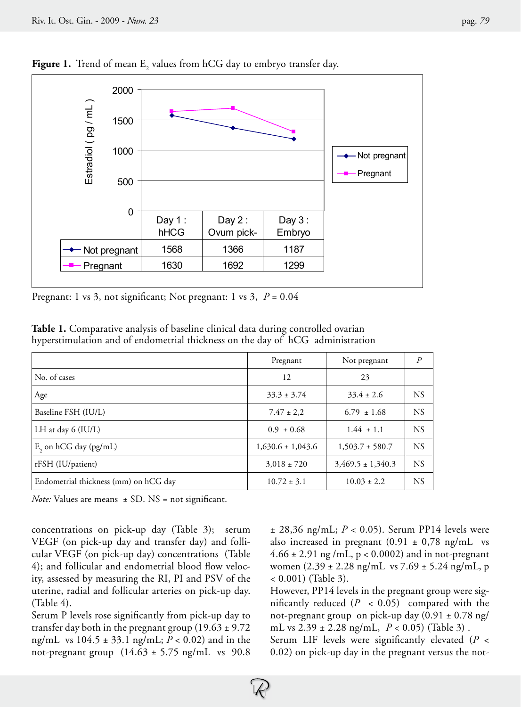

**Figure 1.** Trend of mean  $\mathbb{E}^{}_{2}$  values from hCG day to embryo transfer day.

Pregnant: 1 vs 3, not significant; Not pregnant: 1 vs 3, *P* = 0.04

| Table 1. Comparative analysis of baseline clinical data during controlled ovarian |  |  |  |  |  |
|-----------------------------------------------------------------------------------|--|--|--|--|--|
| hyperstimulation and of endometrial thickness on the day of hCG administration    |  |  |  |  |  |

|                                       | Pregnant              | Not pregnant          | $\overline{P}$ |
|---------------------------------------|-----------------------|-----------------------|----------------|
| No. of cases                          | 12                    | 23                    |                |
| Age                                   | $33.3 \pm 3.74$       | $33.4 \pm 2.6$        | <b>NS</b>      |
| Baseline FSH (IU/L)                   | $7.47 \pm 2.2$        | $6.79 \pm 1.68$       | <b>NS</b>      |
| LH at day 6 (IU/L)                    | $0.9 \pm 0.68$        | $1.44 \pm 1.1$        | <b>NS</b>      |
| $E$ , on hCG day (pg/mL)              | $1,630.6 \pm 1,043.6$ | $1,503.7 \pm 580.7$   | <b>NS</b>      |
| rFSH (IU/patient)                     | $3,018 \pm 720$       | $3,469.5 \pm 1,340.3$ | <b>NS</b>      |
| Endometrial thickness (mm) on hCG day | $10.72 \pm 3.1$       | $10.03 \pm 2.2$       | <b>NS</b>      |

*Note:* Values are means  $\pm$  SD. NS = not significant.

concentrations on pick-up day (Table 3); serum VEGF (on pick-up day and transfer day) and follicular VEGF (on pick-up day) concentrations (Table 4); and follicular and endometrial blood flow velocity, assessed by measuring the RI, PI and PSV of the uterine, radial and follicular arteries on pick-up day. (Table 4).

Serum P levels rose significantly from pick-up day to transfer day both in the pregnant group  $(19.63 \pm 9.72)$ ng/mL vs 104.5 ± 33.1 ng/mL; *P* < 0.02) and in the not-pregnant group  $(14.63 \pm 5.75 \text{ ng/mL}$  vs 90.8

± 28,36 ng/mL; *P* < 0.05). Serum PP14 levels were also increased in pregnant  $(0.91 \pm 0.78 \text{ ng/mL}$  vs  $4.66 \pm 2.91$  ng /mL, p < 0.0002) and in not-pregnant women (2.39 ± 2.28 ng/mL vs 7.69 ± 5.24 ng/mL, p < 0.001) (Table 3).

However, PP14 levels in the pregnant group were significantly reduced  $(P < 0.05)$  compared with the not-pregnant group on pick-up day  $(0.91 \pm 0.78 \text{ ng}/$ mL vs 2.39 ± 2.28 ng/mL, *P* < 0.05) (Table 3) .

Serum LIF levels were significantly elevated (*P* < 0.02) on pick-up day in the pregnant versus the not-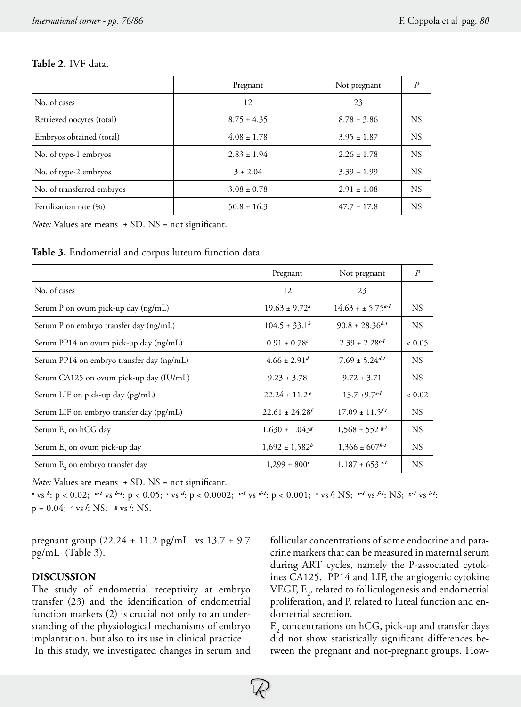## **Table 2.** IVF data.

|                            | Pregnant        | Not pregnant    | $\overline{P}$ |
|----------------------------|-----------------|-----------------|----------------|
| No. of cases               | 12              | 23              |                |
| Retrieved oocytes (total)  | $8.75 \pm 4.35$ | $8.78 \pm 3.86$ | <b>NS</b>      |
| Embryos obtained (total)   | $4.08 \pm 1.78$ | $3.95 \pm 1.87$ | <b>NS</b>      |
| No. of type-1 embryos      | $2.83 \pm 1.94$ | $2.26 \pm 1.78$ | <b>NS</b>      |
| No. of type-2 embryos      | $3 \pm 2.04$    | $3.39 \pm 1.99$ | <b>NS</b>      |
| No. of transferred embryos | $3.08 \pm 0.78$ | $2.91 \pm 1.08$ | <b>NS</b>      |
| Fertilization rate (%)     | $50.8 \pm 16.3$ | $47.7 \pm 17.8$ | <b>NS</b>      |

*Note:* Values are means  $\pm$  SD. NS = not significant.

**Table 3.** Endometrial and corpus luteum function data.

|                                             | Pregnant                       | Not pregnant                                 | $\boldsymbol{P}$ |
|---------------------------------------------|--------------------------------|----------------------------------------------|------------------|
| No. of cases                                | 12                             | 23                                           |                  |
| Serum P on ovum pick-up day (ng/mL)         | $19.63 \pm 9.72^{\circ}$       | $14.63 + \pm 5.75^{a-1}$                     | <b>NS</b>        |
| Serum P on embryo transfer day (ng/mL)      | $104.5 \pm 33.1^b$             | $90.8 \pm 28.36^{b-1}$                       | <b>NS</b>        |
| Serum PP14 on ovum pick-up day (ng/mL)      | $0.91 \pm 0.78$ <sup>c</sup>   | $2.39 \pm 2.28$ <sup>c-1</sup>               | ${}< 0.05$       |
| Serum PP14 on embryo transfer day (ng/mL)   | $4.66 \pm 2.91^d$              | $7.69 \pm 5.24^{d-1}$                        | <b>NS</b>        |
| Serum CA125 on ovum pick-up day (IU/mL)     | $9.23 \pm 3.78$                | $9.72 \pm 3.71$                              | <b>NS</b>        |
| Serum LIF on pick-up day (pg/mL)            | $22.24 \pm 11.2$ <sup>e</sup>  | $13.7 \pm 9.7$ <sup>e-1</sup>                | ${}< 0.02$       |
| Serum LIF on embryo transfer day (pg/mL)    | $22.61 \pm 24.28$              | $17.09 \pm 11.5$ <sup><math>f-1</math></sup> | <b>NS</b>        |
| Serum E <sub>2</sub> on hCG day             | $1.630 \pm 1.043$ <sup>g</sup> | $1,568 \pm 552$ $s^{-1}$                     | <b>NS</b>        |
| Serum E <sub>2</sub> on ovum pick-up day    | $1,692 \pm 1,582^b$            | $1,366 \pm 607^{h-1}$                        | <b>NS</b>        |
| Serum E <sub>2</sub> on embryo transfer day | $1,299 \pm 800^{i}$            | $1,187 \pm 653$ i-1                          | <b>NS</b>        |

*Note:* Values are means  $\pm$  SD. NS = not significant.

<sup>a</sup> vs <sup>b</sup>: p < 0.02; <sup>a-1</sup> vs <sup>b-1</sup>: p < 0.05; <sup>c</sup> vs <sup>d</sup>: p < 0.0002; <sup>c-1</sup> vs <sup>d-1</sup>: p < 0.001; <sup>e</sup> vs <sup>f</sup>: NS; <sup>e-1</sup> vs <sup>f-1</sup>: NS; <sup>g-1</sup> vs <sup>i-1</sup>:  $p = 0.04$ ; *e* vs *f*: NS; *g* vs *i*: NS.

pregnant group (22.24 ± 11.2 pg/mL vs 13.7 ± 9.7 pg/mL (Table 3).

# **DISCUSSION**

The study of endometrial receptivity at embryo transfer (23) and the identification of endometrial function markers (2) is crucial not only to an understanding of the physiological mechanisms of embryo implantation, but also to its use in clinical practice.

In this study, we investigated changes in serum and

follicular concentrations of some endocrine and paracrine markers that can be measured in maternal serum during ART cycles, namely the P-associated cytokines CA125, PP14 and LIF, the angiogenic cytokine VEGF,  $E_2$ , related to folliculogenesis and endometrial proliferation, and P, related to luteal function and endometrial secretion.

 $\mathrm{E}_\mathrm{2}$  concentrations on hCG, pick-up and transfer days did not show statistically significant differences between the pregnant and not-pregnant groups. How-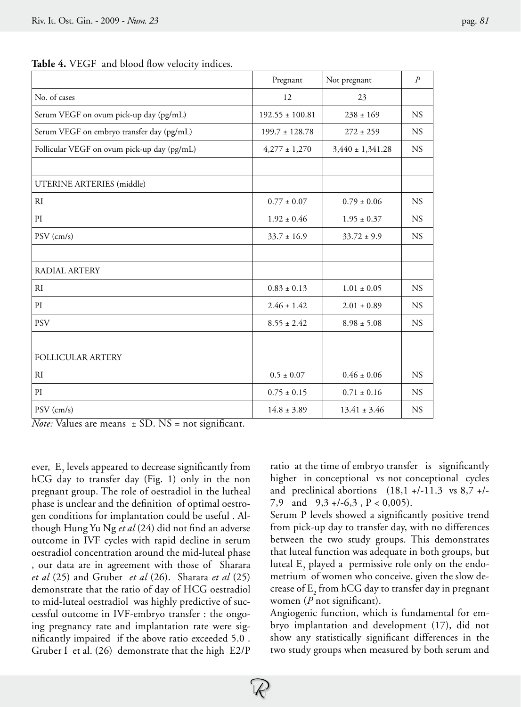|                                             | Pregnant            | Not pregnant         | $\overline{P}$ |
|---------------------------------------------|---------------------|----------------------|----------------|
| No. of cases                                | 12                  | 23                   |                |
| Serum VEGF on ovum pick-up day (pg/mL)      | $192.55 \pm 100.81$ | $238 \pm 169$        | <b>NS</b>      |
| Serum VEGF on embryo transfer day (pg/mL)   | $199.7 \pm 128.78$  | $272 \pm 259$        | <b>NS</b>      |
| Follicular VEGF on ovum pick-up day (pg/mL) | $4,277 \pm 1,270$   | $3,440 \pm 1,341.28$ | <b>NS</b>      |
|                                             |                     |                      |                |
| UTERINE ARTERIES (middle)                   |                     |                      |                |
| R1                                          | $0.77 \pm 0.07$     | $0.79 \pm 0.06$      | <b>NS</b>      |
| PI                                          | $1.92 \pm 0.46$     | $1.95 \pm 0.37$      | <b>NS</b>      |
| $PSV$ (cm/s)                                | $33.7 \pm 16.9$     | $33.72 \pm 9.9$      | <b>NS</b>      |
|                                             |                     |                      |                |
| RADIAL ARTERY                               |                     |                      |                |
| RI                                          | $0.83 \pm 0.13$     | $1.01 \pm 0.05$      | <b>NS</b>      |
| PI                                          | $2.46 \pm 1.42$     | $2.01 \pm 0.89$      | <b>NS</b>      |
| <b>PSV</b>                                  | $8.55 \pm 2.42$     | $8.98 \pm 5.08$      | <b>NS</b>      |
|                                             |                     |                      |                |
| <b>FOLLICULAR ARTERY</b>                    |                     |                      |                |
| R1                                          | $0.5 \pm 0.07$      | $0.46 \pm 0.06$      | <b>NS</b>      |
| PI                                          | $0.75 \pm 0.15$     | $0.71 \pm 0.16$      | <b>NS</b>      |
| $PSV$ (cm/s)                                | $14.8 \pm 3.89$     | $13.41 \pm 3.46$     | <b>NS</b>      |
|                                             |                     |                      |                |

Table 4. VEGF and blood flow velocity indices.

*Note:* Values are means  $\pm$  SD. NS = not significant.

ever,  $\mathop{\mathrm{E}}\nolimits_2$  levels appeared to decrease significantly from hCG day to transfer day (Fig. 1) only in the non pregnant group. The role of oestradiol in the lutheal phase is unclear and the definition of optimal oestrogen conditions for implantation could be useful . Although Hung Yu Ng *et al* (24) did not find an adverse outcome in IVF cycles with rapid decline in serum oestradiol concentration around the mid-luteal phase , our data are in agreement with those of Sharara *et al* (25) and Gruber *et al* (26). Sharara *et al* (25) demonstrate that the ratio of day of HCG oestradiol to mid-luteal oestradiol was highly predictive of successful outcome in IVF-embryo transfer : the ongoing pregnancy rate and implantation rate were significantly impaired if the above ratio exceeded 5.0 . Gruber I et al. (26) demonstrate that the high E2/P

ratio at the time of embryo transfer is significantly higher in conceptional vs not conceptional cycles and preclinical abortions  $(18,1 +/-11.3 \text{ vs } 8,7 +/-1)$ 7,9 and  $9,3 + (-6,3, P < 0,005)$ .

Serum P levels showed a significantly positive trend from pick-up day to transfer day, with no differences between the two study groups. This demonstrates that luteal function was adequate in both groups, but luteal  $\text{E}_{\text{2}}$  played a  $\,$  permissive role only on the endometrium of women who conceive, given the slow decrease of  $\mathrm{E}_\mathrm{2}$  from hCG day to transfer day in pregnant women (*P* not significant).

Angiogenic function, which is fundamental for embryo implantation and development (17), did not show any statistically significant differences in the two study groups when measured by both serum and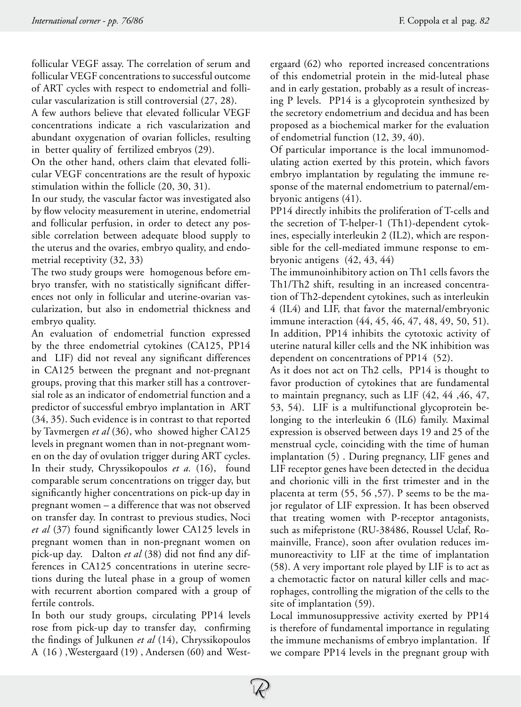follicular VEGF assay. The correlation of serum and follicular VEGF concentrations to successful outcome of ART cycles with respect to endometrial and follicular vascularization is still controversial (27, 28).

A few authors believe that elevated follicular VEGF concentrations indicate a rich vascularization and abundant oxygenation of ovarian follicles, resulting in better quality of fertilized embryos (29).

On the other hand, others claim that elevated follicular VEGF concentrations are the result of hypoxic stimulation within the follicle (20, 30, 31).

In our study, the vascular factor was investigated also by flow velocity measurement in uterine, endometrial and follicular perfusion, in order to detect any possible correlation between adequate blood supply to the uterus and the ovaries, embryo quality, and endometrial receptivity (32, 33)

The two study groups were homogenous before embryo transfer, with no statistically significant differences not only in follicular and uterine-ovarian vascularization, but also in endometrial thickness and embryo quality.

An evaluation of endometrial function expressed by the three endometrial cytokines (CA125, PP14 and LIF) did not reveal any significant differences in CA125 between the pregnant and not-pregnant groups, proving that this marker still has a controversial role as an indicator of endometrial function and a predictor of successful embryo implantation in ART (34, 35). Such evidence is in contrast to that reported by Tavmergen *et al* (36), who showed higher CA125 levels in pregnant women than in not-pregnant women on the day of ovulation trigger during ART cycles. In their study, Chryssikopoulos *et a.* (16), found comparable serum concentrations on trigger day, but significantly higher concentrations on pick-up day in pregnant women – a difference that was not observed on transfer day. In contrast to previous studies, Noci *et al* (37) found significantly lower CA125 levels in pregnant women than in non-pregnant women on pick-up day. Dalton *et al* (38) did not find any differences in CA125 concentrations in uterine secretions during the luteal phase in a group of women with recurrent abortion compared with a group of fertile controls.

In both our study groups, circulating PP14 levels rose from pick-up day to transfer day, confirming the findings of Julkunen *et al* (14), Chryssikopoulos A (16 ) ,Westergaard (19) , Andersen (60) and Westergaard (62) who reported increased concentrations of this endometrial protein in the mid-luteal phase and in early gestation, probably as a result of increasing P levels. PP14 is a glycoprotein synthesized by the secretory endometrium and decidua and has been proposed as a biochemical marker for the evaluation of endometrial function (12, 39, 40).

Of particular importance is the local immunomodulating action exerted by this protein, which favors embryo implantation by regulating the immune response of the maternal endometrium to paternal/embryonic antigens (41).

PP14 directly inhibits the proliferation of T-cells and the secretion of T-helper-1 (Th1)-dependent cytokines, especially interleukin 2 (IL2), which are responsible for the cell-mediated immune response to embryonic antigens (42, 43, 44)

The immunoinhibitory action on Th1 cells favors the Th1/Th2 shift, resulting in an increased concentration of Th2-dependent cytokines, such as interleukin 4 (IL4) and LIF, that favor the maternal/embryonic immune interaction (44, 45, 46, 47, 48, 49, 50, 51). In addition, PP14 inhibits the cytotoxic activity of uterine natural killer cells and the NK inhibition was dependent on concentrations of PP14 (52).

As it does not act on Th2 cells, PP14 is thought to favor production of cytokines that are fundamental to maintain pregnancy, such as LIF (42, 44 ,46, 47, 53, 54). LIF is a multifunctional glycoprotein belonging to the interleukin 6 (IL6) family. Maximal expression is observed between days 19 and 25 of the menstrual cycle, coinciding with the time of human implantation (5) . During pregnancy, LIF genes and LIF receptor genes have been detected in the decidua and chorionic villi in the first trimester and in the placenta at term (55, 56 ,57). P seems to be the major regulator of LIF expression. It has been observed that treating women with P-receptor antagonists, such as mifepristone (RU-38486, Roussel Uclaf, Romainville, France), soon after ovulation reduces immunoreactivity to LIF at the time of implantation (58). A very important role played by LIF is to act as a chemotactic factor on natural killer cells and macrophages, controlling the migration of the cells to the site of implantation (59).

Local immunosuppressive activity exerted by PP14 is therefore of fundamental importance in regulating the immune mechanisms of embryo implantation. If we compare PP14 levels in the pregnant group with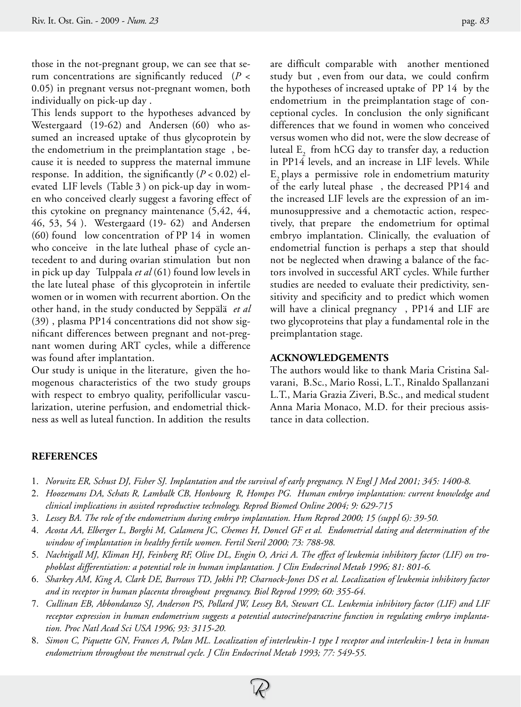those in the not-pregnant group, we can see that serum concentrations are significantly reduced (*P* < 0.05) in pregnant versus not-pregnant women, both individually on pick-up day .

This lends support to the hypotheses advanced by Westergaard (19-62) and Andersen (60) who assumed an increased uptake of thus glycoprotein by the endometrium in the preimplantation stage , because it is needed to suppress the maternal immune response. In addition, the significantly  $(P < 0.02)$  elevated LIF levels (Table 3 ) on pick-up day in women who conceived clearly suggest a favoring effect of this cytokine on pregnancy maintenance (5,42, 44, 46, 53, 54 ). Westergaard (19- 62) and Andersen (60) found low concentration of PP 14 in women who conceive in the late lutheal phase of cycle antecedent to and during ovarian stimulation but non in pick up day Tulppala *et al* (61) found low levels in the late luteal phase of this glycoprotein in infertile women or in women with recurrent abortion. On the other hand, in the study conducted by Seppälä *et al* (39) , plasma PP14 concentrations did not show significant differences between pregnant and not-pregnant women during ART cycles, while a difference was found after implantation.

Our study is unique in the literature, given the homogenous characteristics of the two study groups with respect to embryo quality, perifollicular vascularization, uterine perfusion, and endometrial thickness as well as luteal function. In addition the results

are difficult comparable with another mentioned study but , even from our data, we could confirm the hypotheses of increased uptake of PP 14 by the endometrium in the preimplantation stage of conceptional cycles. In conclusion the only significant differences that we found in women who conceived versus women who did not, were the slow decrease of luteal E<sub>2</sub> from hCG day to transfer day, a reduction in PP14 levels, and an increase in LIF levels. While  $E<sub>2</sub>$  plays a permissive role in endometrium maturity of the early luteal phase , the decreased PP14 and the increased LIF levels are the expression of an immunosuppressive and a chemotactic action, respectively, that prepare the endometrium for optimal embryo implantation. Clinically, the evaluation of endometrial function is perhaps a step that should not be neglected when drawing a balance of the factors involved in successful ART cycles. While further studies are needed to evaluate their predictivity, sensitivity and specificity and to predict which women will have a clinical pregnancy, PP14 and LIF are two glycoproteins that play a fundamental role in the preimplantation stage.

## **ACKNOWLEDGEMENTS**

The authors would like to thank Maria Cristina Salvarani, B.Sc., Mario Rossi, L.T., Rinaldo Spallanzani L.T., Maria Grazia Ziveri, B.Sc., and medical student Anna Maria Monaco, M.D. for their precious assistance in data collection.

# **REFERENCES**

- 1. *Norwitz ER, Schust DJ, Fisher SJ. Implantation and the survival of early pregnancy. N Engl J Med 2001; 345: 1400-8.*
- 2. *Hoozemans DA, Schats R, Lambalk CB, Honbourg R, Hompes PG. Human embryo implantation: current knowledge and clinical implications in assisted reproductive technology. Reprod Biomed Online 2004; 9: 629-715*
- 3. *Lessey BA. The role of the endometrium during embryo implantation. Hum Reprod 2000; 15 (suppl 6): 39-50.*
- 4. *Acosta AA, Elberger L, Borghi M, Calamera JC, Chemes H, Doncel GF et al. Endometrial dating and determination of the window of implantation in healthy fertile women. Fertil Steril 2000; 73: 788-98.*
- 5. *Nachtigall MJ, Kliman HJ, Feinberg RF, Olive DL, Engin O, Arici A. The effect of leukemia inhibitory factor (LIF) on trophoblast differentiation: a potential role in human implantation. J Clin Endocrinol Metab 1996; 81: 801-6.*
- 6. *Sharkey AM, King A, Clark DE, Burrows TD, Jokhi PP, Charnock-Jones DS et al. Localization of leukemia inhibitory factor and its receptor in human placenta throughout pregnancy. Biol Reprod 1999; 60: 355-64.*
- 7. *Cullinan EB, Abbondanzo SJ, Anderson PS, Pollard JW, Lessey BA, Stewart CL. Leukemia inhibitory factor (LIF) and LIF receptor expression in human endometrium suggests a potential autocrine/paracrine function in regulating embryo implantation. Proc Natl Acad Sci USA 1996; 93: 3115-20.*
- 8. *Simon C, Piquette GN, Frances A, Polan ML. Localization of interleukin-1 type I receptor and interleukin-1 beta in human endometrium throughout the menstrual cycle. J Clin Endocrinol Metab 1993; 77: 549-55.*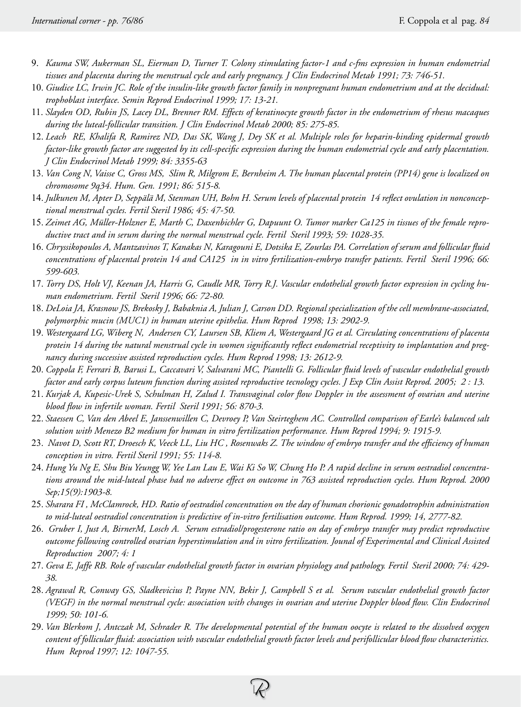- 9. *Kauma SW, Aukerman SL, Eierman D, Turner T. Colony stimulating factor-1 and c-fms expression in human endometrial tissues and placenta during the menstrual cycle and early pregnancy. J Clin Endocrinol Metab 1991; 73: 746-51.*
- 10. *Giudice LC, Irwin JC. Role of the insulin-like growth factor family in nonpregnant human endometrium and at the decidual: trophoblast interface. Semin Reprod Endocrinol 1999; 17: 13-21.*
- 11. *Slayden OD, Rubin JS, Lacey DL, Brenner RM. Effects of keratinocyte growth factor in the endometrium of rhesus macaques during the luteal-follicular transition. J Clin Endocrinol Metab 2000; 85: 275-85.*
- 12. *Leach RE, Khalifa R, Ramirez ND, Das SK, Wang J, Dey SK et al. Multiple roles for heparin-binding epidermal growth factor-like growth factor are suggested by its cell-specific expression during the human endometrial cycle and early placentation. J Clin Endocrinol Metab 1999; 84: 3355-63*
- 13. *Van Cong N, Vaisse C, Gross MS, Slim R, Milgrom E, Bernheim A. The human placental protein (PP14) gene is localized on chromosome 9q34. Hum. Gen. 1991; 86: 515-8.*
- 14. *Julkunen M, Apter D, Seppälä M, Stenman UH, Bohn H. Serum levels of placental protein 14 reflect ovulation in nonconceptional menstrual cycles. Fertil Steril 1986; 45: 47-50.*
- 15. *Zeimet AG, Müller-Holzner E, Marth C, Daxenbichler G, Dapuunt O. Tumor marker Ca125 in tissues of the female reproductive tract and in serum during the normal menstrual cycle. Fertil Steril 1993; 59: 1028-35.*
- 16. *Chryssikopoulos A, Mantzavinos T, Kanakas N, Karagouni E, Dotsika E, Zourlas PA. Correlation of serum and follicular fluid concentrations of placental protein 14 and CA125 in in vitro fertilization-embryo transfer patients. Fertil Steril 1996; 66: 599-603.*
- 17. *Torry DS, Holt VJ, Keenan JA, Harris G, Caudle MR, Torry R.J. Vascular endothelial growth factor expression in cycling human endometrium. Fertil Steril 1996; 66: 72-80.*
- 18. *DeLoia JA, Krasnow JS, Brekosky J, Babaknia A, Julian J, Carson DD. Regional specialization of the cell membrane-associated, polymorphic mucin (MUC1) in human uterine epithelia. Hum Reprod 1998; 13: 2902-9.*
- 19. *Westergaard LG, Wiberg N, Andersen CY, Laursen SB, Kliem A, Westergaard JG et al. Circulating concentrations of placenta protein 14 during the natural menstrual cycle in women significantly reflect endometrial receptivity to implantation and pregnancy during successive assisted reproduction cycles. Hum Reprod 1998; 13: 2612-9.*
- 20. *Coppola F, Ferrari B, Barusi L, Caccavari V, Salvarani MC, Piantelli G. Follicular fluid levels of vascular endothelial growth factor and early corpus luteum function during assisted reproductive tecnology cycles. J Exp Clin Assist Reprod. 2005; 2 : 13.*
- 21. *Kurjak A, Kupesic-Urek S, Schulman H, Zalud I. Transvaginal color flow Doppler in the assessment of ovarian and uterine blood flow in infertile woman. Fertil Steril 1991; 56: 870-3.*
- 22. *Staessen C, Van den Abeel E, Janssenwillen C, Devroey P, Van Steirteghem AC. Controlled comparison of Earle's balanced salt solution with Menezo B2 medium for human in vitro fertilization performance. Hum Reprod 1994; 9: 1915-9.*
- 23. *Navot D, Scott RT, Droesch K, Veeck LL, Liu HC , Rosenwaks Z. The window of embryo transfer and the efficiency of human conception in vitro. Fertil Steril 1991; 55: 114-8.*
- 24. *Hung Yu Ng E, Shu Biu Yeungg W, Yee Lan Lau E, Wai Ki So W, Chung Ho P. A rapid decline in serum oestradiol concentrations around the mid-luteal phase had no adverse effect on outcome in 763 assisted reproduction cycles. Hum Reprod. 2000 Sep;15(9):1903-8.*
- 25. *Sharara FI , McClamrock, HD. Ratio of oestradiol concentration on the day of human chorionic gonadotrophin administration to mid-luteal oestradiol concentration is predictive of in-vitro fertilisation outcome. Hum Reprod. 1999; 14, 2777-82.*
- 26. *Gruber I, Just A, BirnerM, Losch A. Serum estradiol/progesterone ratio on day of embryo transfer may predict reproductive outcome following controlled ovarian hyperstimulation and in vitro fertilization. Jounal of Experimental and Clinical Assisted Reproduction 2007; 4: 1*
- 27. *Geva E, Jaffe RB. Role of vascular endothelial growth factor in ovarian physiology and pathology. Fertil Steril 2000; 74: 429- 38.*
- 28. *Agrawal R, Conway GS, Sladkevicius P, Payne NN, Bekir J, Campbell S et al. Serum vascular endothelial growth factor (VEGF) in the normal menstrual cycle: association with changes in ovarian and uterine Doppler blood flow. Clin Endocrinol 1999; 50: 101-6.*
- 29. *Van Blerkom J, Antczak M, Schrader R. The developmental potential of the human oocyte is related to the dissolved oxygen content of follicular fluid: association with vascular endothelial growth factor levels and perifollicular blood flow characteristics. Hum Reprod 1997; 12: 1047-55.*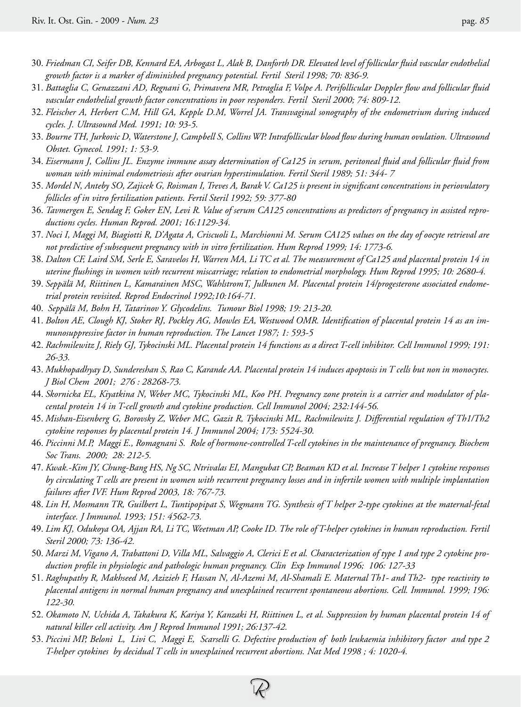- 30. *Friedman CI, Seifer DB, Kennard EA, Arbogast L, Alak B, Danforth DR. Elevated level of follicular fluid vascular endothelial growth factor is a marker of diminished pregnancy potential. Fertil Steril 1998; 70: 836-9.*
- 31. *Battaglia C, Genazzani AD, Regnani G, Primavera MR, Petraglia F, Volpe A. Perifollicular Doppler flow and follicular fluid vascular endothelial growth factor concentrations in poor responders. Fertil Steril 2000; 74: 809-12.*
- 32. *Fleischer A, Herbert C.M, Hill GA, Kepple D.M, Worrel JA. Transvaginal sonography of the endometrium during induced cycles. J. Ultrasound Med. 1991; 10: 93-5.*
- 33. *Bourne TH, Jurkovic D, Waterstone J, Campbell S, Collins WP. Intrafollicular blood flow during human ovulation. Ultrasound Obstet. Gynecol. 1991; 1: 53-9.*
- 34. *Eisermann J, Collins JL. Enzyme immune assay determination of Ca125 in serum, peritoneal fluid and follicular fluid from woman with minimal endometriosis after ovarian hyperstimulation. Fertil Steril 1989; 51: 344- 7*
- 35. *Mordel N, Anteby SO, Zajicek G, Roisman I, Treves A, Barak V. Ca125 is present in significant concentrations in periovulatory follicles of in vitro fertilization patients. Fertil Steril 1992; 59: 377-80*
- 36. *Tavmergen E, Sendag F, Goker EN, Levi R. Value of serum CA125 concentrations as predictors of pregnancy in assisted reproductions cycles. Human Reprod. 2001; 16:1129-34.*
- 37. *Noci I, Maggi M, Biagiotti R, D'Agata A, Criscuoli L, Marchionni M. Serum CA125 values on the day of oocyte retrieval are not predictive of subsequent pregnancy with in vitro fertilization. Hum Reprod 1999; 14: 1773-6.*
- 38. *Dalton CF, Laird SM, Serle E, Saravelos H, Warren MA, Li TC et al. The measurement of Ca125 and placental protein 14 in uterine flushings in women with recurrent miscarriage; relation to endometrial morphology. Hum Reprod 1995; 10: 2680-4.*
- 39. *Seppälä M, Riittinen L, Kamarainen MSC, WahlstromT, Julkunen M. Placental protein 14/progesterone associated endometrial protein revisited. Reprod Endocrinol 1992;10:164-71.*
- 40. *Seppälä M, Bohn H, Tatarinov Y. Glycodelins. Tumour Biol 1998; 19: 213-20.*
- 41. *Bolton AE, Clough KJ, Stoker RJ, Pockley AG, Mowles EA, Westwood OMR. Identification of placental protein 14 as an immunosuppressive factor in human reproduction. The Lancet 1987; 1: 593-5*
- 42. *Rachmilewitz J, Riely GJ, Tykocinski ML. Placental protein 14 functions as a direct T-cell inhibitor. Cell Immunol 1999; 191: 26-33.*
- 43. *Mukhopadhyay D, Sundereshan S, Rao C, Karande AA. Placental protein 14 induces apoptosis in T cells but non in monocytes. J Biol Chem 2001; 276 : 28268-73.*
- 44. *Skornicka EL, Kiyatkina N, Weber MC, Tykocinski ML, Koo PH. Pregnancy zone protein is a carrier and modulator of placental protein 14 in T-cell growth and cytokine production. Cell Immunol 2004; 232:144-56.*
- 45. *Mishan-Eisenberg G, Borovsky Z, Weber MC, Gazit R, Tykocinski ML, Rachmilewitz J. Differential regulation of Th1/Th2 cytokine responses by placental protein 14. J Immunol 2004; 173: 5524-30.*
- 46. *Piccinni M.P, Maggi E., Romagnani S. Role of hormone-controlled T-cell cytokines in the maintenance of pregnancy. Biochem Soc Trans. 2000; 28: 212-5.*
- 47. *Kwak.-Kim JY, Chung-Bang HS, Ng SC, Ntrivalas EI, Mangubat CP, Beaman KD et al. Increase T helper 1 cytokine responses by circulating T cells are present in women with recurrent pregnancy losses and in infertile women with multiple implantation failures after IVF. Hum Reprod 2003, 18: 767-73.*
- 48. *Lin H, Mosmann TR, Guilbert L, Tuntipopipat S, Wegmann TG. Synthesis of T helper 2-type cytokines at the maternal-fetal interface. J Immunol. 1993; 151: 4562-73.*
- 49. *Lim KJ, Odukoya OA, Ajjan RA, Li TC, Weetman AP, Cooke ID. The role of T-helper cytokines in human reproduction. Fertil Steril 2000; 73: 136-42.*
- 50. *Marzi M, Vigano A, Trabattoni D, Villa ML, Salvaggio A, Clerici E et al. Characterization of type 1 and type 2 cytokine production profile in physiologic and pathologic human pregnancy. Clin Exp Immunol 1996; 106: 127-33*
- 51. *Raghupathy R, Makhseed M, Azizieh F, Hassan N, Al-Azemi M, Al-Shamali E. Maternal Th1- and Th2- type reactivity to placental antigens in normal human pregnancy and unexplained recurrent spontaneous abortions. Cell. Immunol. 1999; 196: 122-30.*
- 52. *Okamoto N, Uchida A, Takakura K, Kariya Y, Kanzaki H, Riittinen L, et al. Suppression by human placental protein 14 of natural killer cell activity. Am J Reprod Immunol 1991; 26:137-42.*
- 53. *Piccini MP, Beloni L, Livi C, Maggi E, Scarselli G. Defective production of both leukaemia inhibitory factor and type 2 T-helper cytokines by decidual T cells in unexplained recurrent abortions. Nat Med 1998 ; 4: 1020-4.*